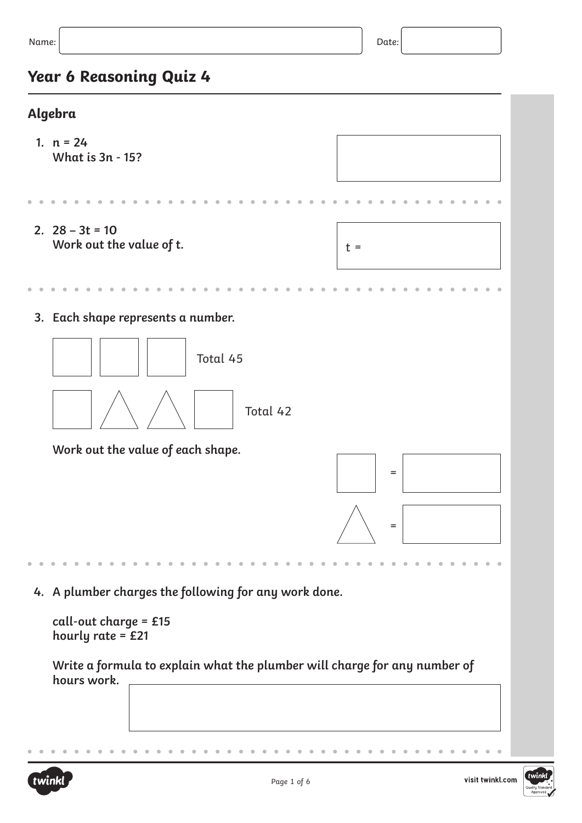# **Year 6 Reasoning Quiz 4**

## **Algebra**



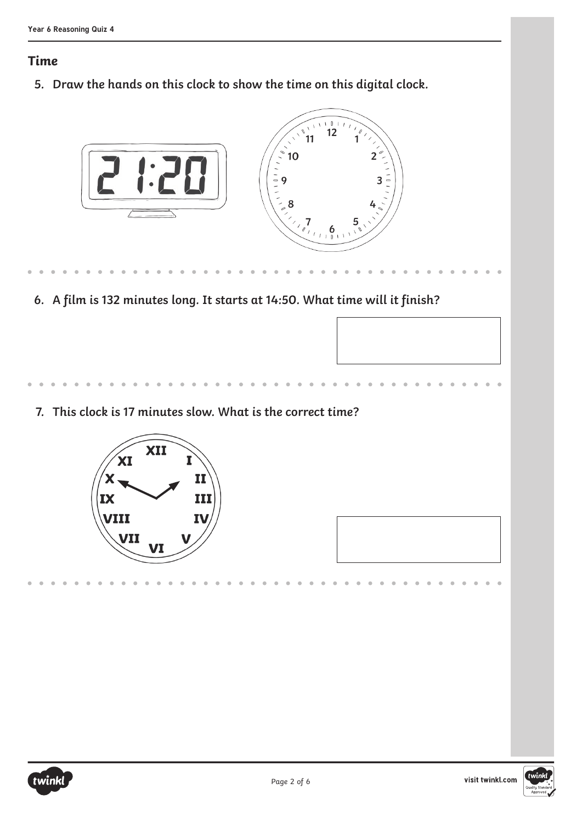#### **Time**

**5. Draw the hands on this clock to show the time on this digital clock.**



**6. A film is 132 minutes long. It starts at 14:50. What time will it finish?**

**7. This clock is 17 minutes slow. What is the correct time?**





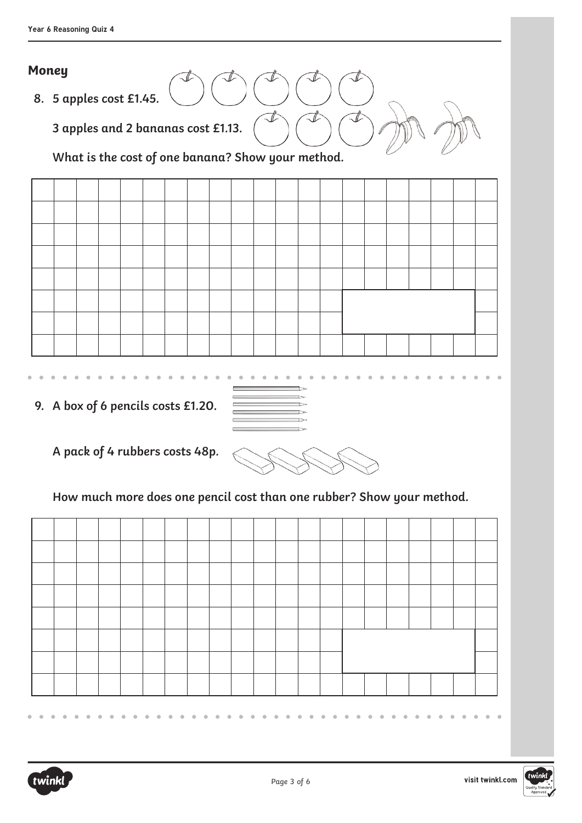#### **Money**

**8. 5 apples cost £1.45.**

**3 apples and 2 bananas cost £1.13.**

**What is the cost of one banana? Show your method.**



**9. A box of 6 pencils costs £1.20.**

**A pack of 4 rubbers costs 48p.**

**How much more does one pencil cost than one rubber? Show your method.**



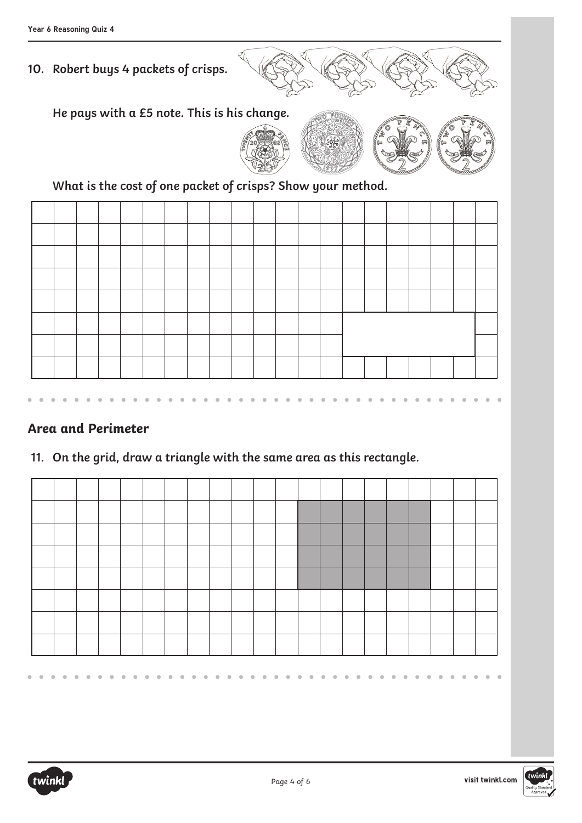## **10. Robert buys 4 packets of crisps.**



**He pays with a £5 note. This is his change.**



**What is the cost of one packet of crisps? Show your method.**

#### **Area and Perimeter**

## **11. On the grid, draw a triangle with the same area as this rectangle.**





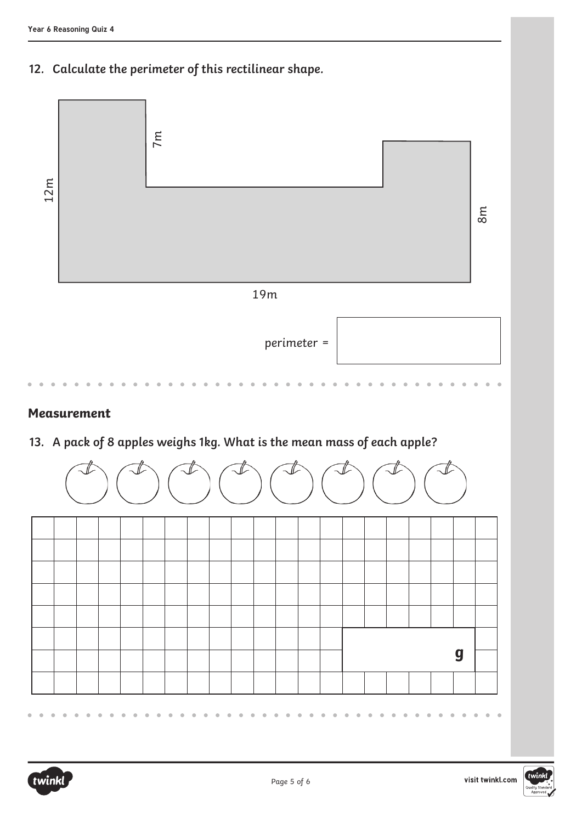**12. Calculate the perimeter of this rectilinear shape.**



#### **Measurement**

**13. A pack of 8 apples weighs 1kg. What is the mean mass of each apple?**



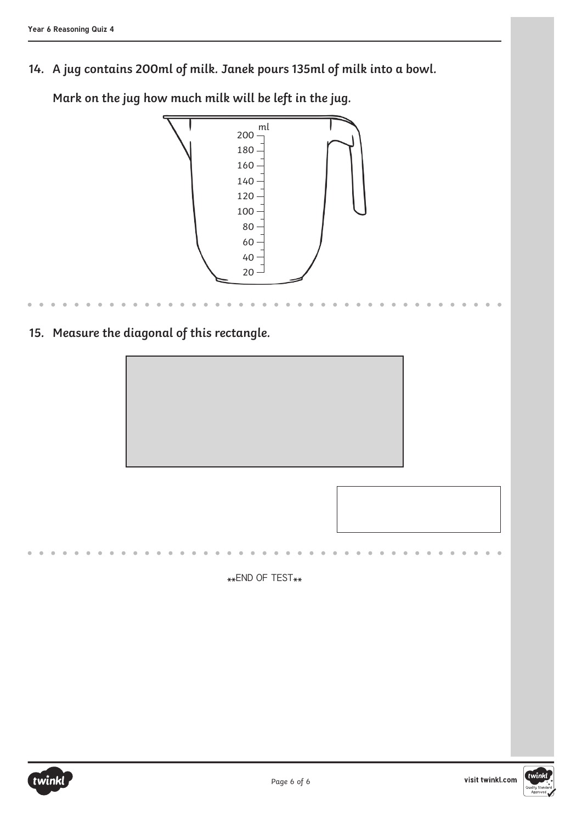**14. A jug contains 200ml of milk. Janek pours 135ml of milk into a bowl.** 

**15. Measure the diagonal of this rectangle.** ml  $20 -$ 40 200 180 160 140 120 100 80 60 \*\*END OF TEST\*\*